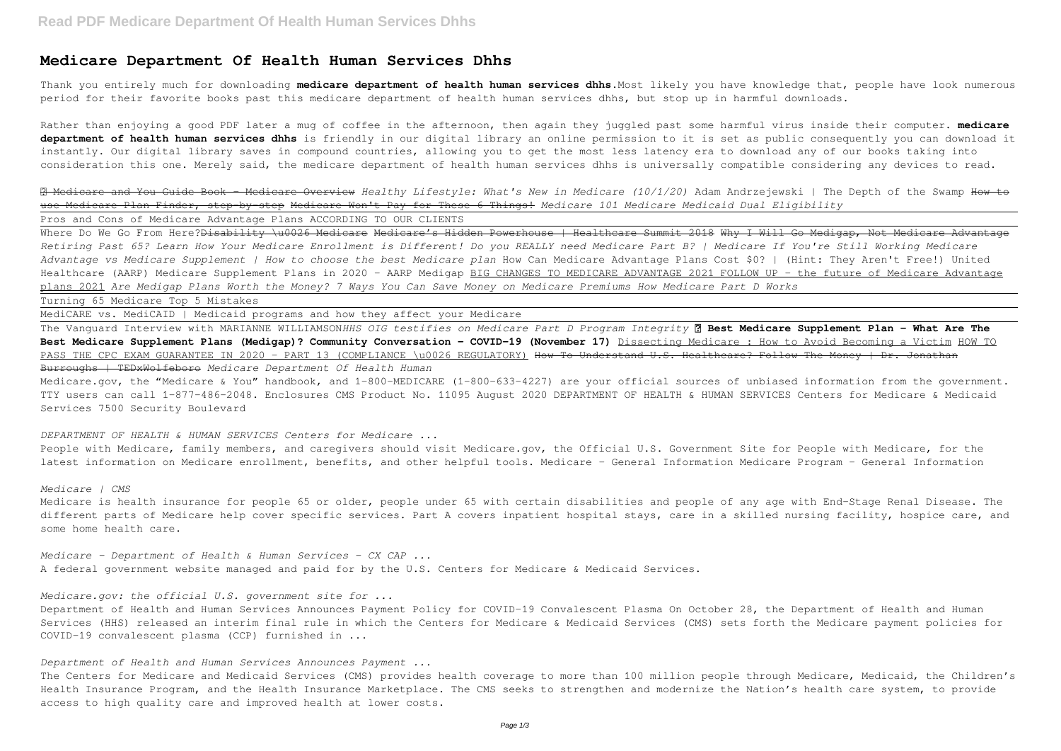## **Medicare Department Of Health Human Services Dhhs**

Thank you entirely much for downloading **medicare department of health human services dhhs**.Most likely you have knowledge that, people have look numerous period for their favorite books past this medicare department of health human services dhhs, but stop up in harmful downloads.

Rather than enjoying a good PDF later a mug of coffee in the afternoon, then again they juggled past some harmful virus inside their computer. **medicare department of health human services dhhs** is friendly in our digital library an online permission to it is set as public consequently you can download it instantly. Our digital library saves in compound countries, allowing you to get the most less latency era to download any of our books taking into consideration this one. Merely said, the medicare department of health human services dhhs is universally compatible considering any devices to read.

Where Do We Go From Here?<del>Disability \u0026 Medicare Medicare's Hidden Powerhouse | Healthcare Summit 2018 Why I Will Go Medigap, Not Medicare Advantage</del> *Retiring Past 65? Learn How Your Medicare Enrollment is Different! Do you REALLY need Medicare Part B? | Medicare If You're Still Working Medicare Advantage vs Medicare Supplement | How to choose the best Medicare plan* How Can Medicare Advantage Plans Cost \$0? | (Hint: They Aren't Free!) United Healthcare (AARP) Medicare Supplement Plans in 2020 - AARP Medigap BIG CHANGES TO MEDICARE ADVANTAGE 2021 FOLLOW UP - the future of Medicare Advantage plans 2021 *Are Medigap Plans Worth the Money? 7 Ways You Can Save Money on Medicare Premiums How Medicare Part D Works*

✅ Medicare and You Guide Book - Medicare Overview *Healthy Lifestyle: What's New in Medicare (10/1/20)* Adam Andrzejewski | The Depth of the Swamp How to use Medicare Plan Finder, step-by-step Medicare Won't Pay for These 6 Things! *Medicare 101 Medicare Medicaid Dual Eligibility* Pros and Cons of Medicare Advantage Plans ACCORDING TO OUR CLIENTS

Medicare.gov, the "Medicare & You" handbook, and 1-800-MEDICARE (1-800-633-4227) are your official sources of unbiased information from the government. TTY users can call 1-877-486-2048. Enclosures CMS Product No. 11095 August 2020 DEPARTMENT OF HEALTH & HUMAN SERVICES Centers for Medicare & Medicaid Services 7500 Security Boulevard

Turning 65 Medicare Top 5 Mistakes

MediCARE vs. MediCAID | Medicaid programs and how they affect your Medicare

The Vanguard Interview with MARIANNE WILLIAMSON*HHS OIG testifies on Medicare Part D Program Integrity* **✅ Best Medicare Supplement Plan - What Are The Best Medicare Supplement Plans (Medigap)? Community Conversation - COVID-19 (November 17)** Dissecting Medicare : How to Avoid Becoming a Victim HOW TO PASS THE CPC EXAM GUARANTEE IN 2020 - PART 13 (COMPLIANCE \u0026 REGULATORY) How To Understand U.S. Healthcare? Follow The Money | Dr. Jonathan Burroughs | TEDxWolfeboro *Medicare Department Of Health Human*

*DEPARTMENT OF HEALTH & HUMAN SERVICES Centers for Medicare ...*

People with Medicare, family members, and caregivers should visit Medicare.gov, the Official U.S. Government Site for People with Medicare, for the latest information on Medicare enrollment, benefits, and other helpful tools. Medicare - General Information Medicare Program - General Information

*Medicare | CMS*

Medicare is health insurance for people 65 or older, people under 65 with certain disabilities and people of any age with End-Stage Renal Disease. The different parts of Medicare help cover specific services. Part A covers inpatient hospital stays, care in a skilled nursing facility, hospice care, and some home health care.

*Medicare - Department of Health & Human Services - CX CAP ...* A federal government website managed and paid for by the U.S. Centers for Medicare & Medicaid Services.

*Medicare.gov: the official U.S. government site for ...*

Department of Health and Human Services Announces Payment Policy for COVID-19 Convalescent Plasma On October 28, the Department of Health and Human Services (HHS) released an interim final rule in which the Centers for Medicare & Medicaid Services (CMS) sets forth the Medicare payment policies for COVID-19 convalescent plasma (CCP) furnished in ...

*Department of Health and Human Services Announces Payment ...*

The Centers for Medicare and Medicaid Services (CMS) provides health coverage to more than 100 million people through Medicare, Medicaid, the Children's Health Insurance Program, and the Health Insurance Marketplace. The CMS seeks to strengthen and modernize the Nation's health care system, to provide access to high quality care and improved health at lower costs.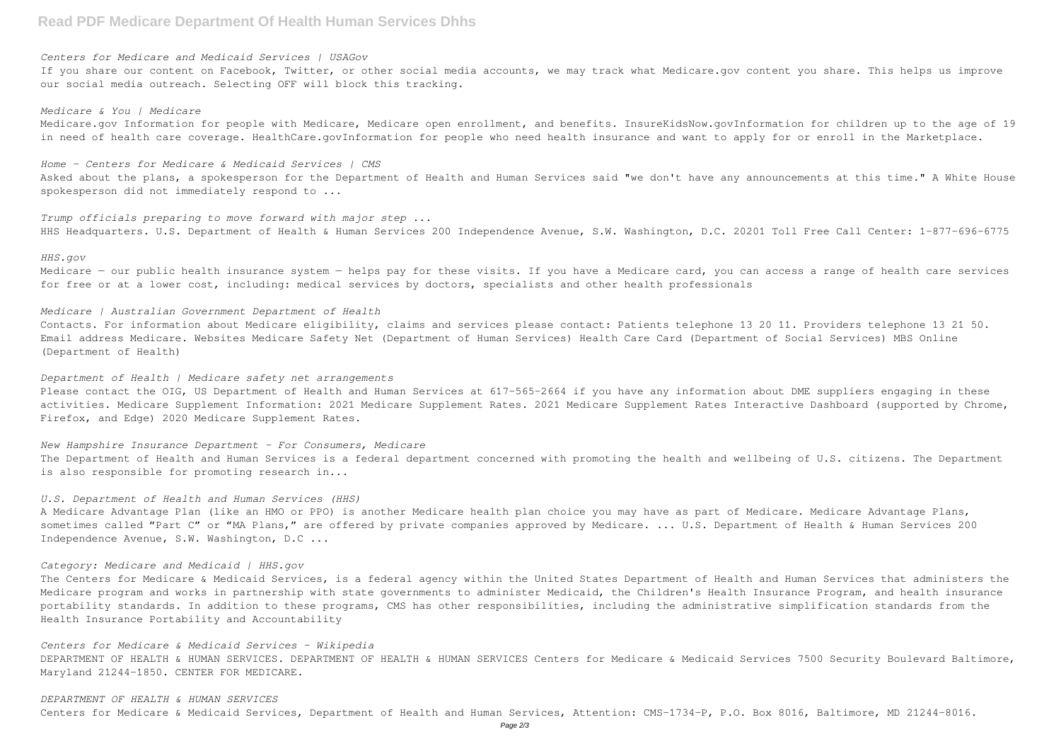# **Read PDF Medicare Department Of Health Human Services Dhhs**

#### *Centers for Medicare and Medicaid Services | USAGov*

If you share our content on Facebook, Twitter, or other social media accounts, we may track what Medicare.gov content you share. This helps us improve our social media outreach. Selecting OFF will block this tracking.

*Medicare & You | Medicare* Medicare.gov Information for people with Medicare, Medicare open enrollment, and benefits. InsureKidsNow.govInformation for children up to the age of 19 in need of health care coverage. HealthCare.govInformation for people who need health insurance and want to apply for or enroll in the Marketplace.

Medicare - our public health insurance system - helps pay for these visits. If you have a Medicare card, you can access a range of health care services for free or at a lower cost, including: medical services by doctors, specialists and other health professionals

*Home - Centers for Medicare & Medicaid Services | CMS* Asked about the plans, a spokesperson for the Department of Health and Human Services said "we don't have any announcements at this time." A White House spokesperson did not immediately respond to ...

*Trump officials preparing to move forward with major step ...* HHS Headquarters. U.S. Department of Health & Human Services 200 Independence Avenue, S.W. Washington, D.C. 20201 Toll Free Call Center: 1-877-696-6775

#### *HHS.gov*

The Department of Health and Human Services is a federal department concerned with promoting the health and wellbeing of U.S. citizens. The Department is also responsible for promoting research in...

## *Medicare | Australian Government Department of Health*

Contacts. For information about Medicare eligibility, claims and services please contact: Patients telephone 13 20 11. Providers telephone 13 21 50. Email address Medicare. Websites Medicare Safety Net (Department of Human Services) Health Care Card (Department of Social Services) MBS Online (Department of Health)

#### *Department of Health | Medicare safety net arrangements*

Please contact the OIG, US Department of Health and Human Services at 617-565-2664 if you have any information about DME suppliers engaging in these activities. Medicare Supplement Information: 2021 Medicare Supplement Rodicare Supplement Rates Interactive Dashboard (supported by Chrome, Firefox, and Edge) 2020 Medicare Supplement Rates.

#### *New Hampshire Insurance Department - For Consumers, Medicare*

### *U.S. Department of Health and Human Services (HHS)*

A Medicare Advantage Plan (like an HMO or PPO) is another Medicare health plan choice you may have as part of Medicare. Medicare Advantage Plans, sometimes called "Part C" or "MA Plans," are offered by private companies approved by Medicare. ... U.S. Department of Health & Human Services 200 Independence Avenue, S.W. Washington, D.C ...

#### *Category: Medicare and Medicaid | HHS.gov*

The Centers for Medicare & Medicaid Services, is a federal agency within the United States Department of Health and Human Services that administers the Medicare program and works in partnership with state governments to administer Medicaid, the Children's Health Insurance Program, and health insurance portability standards. In addition to these programs, CMS has other responsibilities, including the administrative simplification standards from the Health Insurance Portability and Accountability

#### *Centers for Medicare & Medicaid Services - Wikipedia*

DEPARTMENT OF HEALTH & HUMAN SERVICES. DEPARTMENT OF HEALTH & HUMAN SERVICES Centers for Medicare & Medicaid Services 7500 Security Boulevard Baltimore, Maryland 21244-1850. CENTER FOR MEDICARE.

#### *DEPARTMENT OF HEALTH & HUMAN SERVICES*

Centers for Medicare & Medicaid Services, Department of Health and Human Services, Attention: CMS-1734-P, P.O. Box 8016, Baltimore, MD 21244-8016.